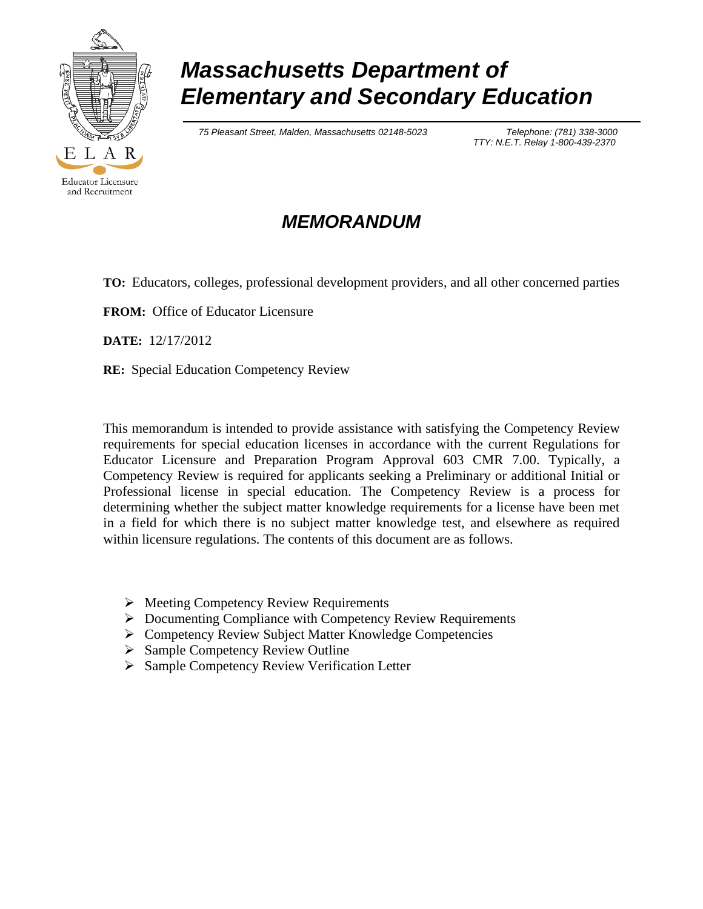

# *Massachusetts Department of Elementary and Secondary Education*

 *75 Pleasant Street, Malden, Massachusetts 02148-5023 Telephone: (781) 338-3000*

 *TTY: N.E.T. Relay 1-800-439-2370*

# *MEMORANDUM*

**TO:** Educators, colleges, professional development providers, and all other concerned parties

**FROM:** Office of Educator Licensure

**DATE:** 12/17/2012

**RE:** Special Education Competency Review

This memorandum is intended to provide assistance with satisfying the Competency Review requirements for special education licenses in accordance with the current Regulations for Educator Licensure and Preparation Program Approval 603 CMR 7.00. Typically, a Competency Review is required for applicants seeking a Preliminary or additional Initial or Professional license in special education. The Competency Review is a process for determining whether the subject matter knowledge requirements for a license have been met in a field for which there is no subject matter knowledge test, and elsewhere as required within licensure regulations. The contents of this document are as follows.

- $\triangleright$  Meeting Competency Review Requirements
- Documenting Compliance with Competency Review Requirements
- ▶ Competency Review Subject Matter Knowledge Competencies
- $\triangleright$  Sample Competency Review Outline
- ▶ Sample Competency Review Verification Letter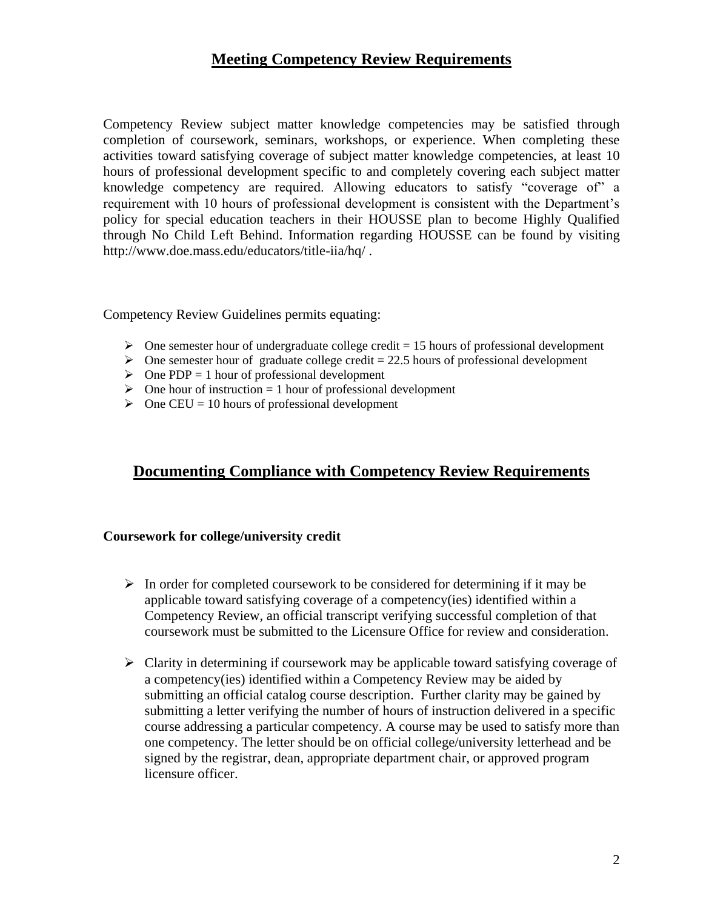### **Meeting Competency Review Requirements**

Competency Review subject matter knowledge competencies may be satisfied through completion of coursework, seminars, workshops, or experience. When completing these activities toward satisfying coverage of subject matter knowledge competencies, at least 10 hours of professional development specific to and completely covering each subject matter knowledge competency are required. Allowing educators to satisfy "coverage of" a requirement with 10 hours of professional development is consistent with the Department's policy for special education teachers in their HOUSSE plan to become Highly Qualified through No Child Left Behind. Information regarding HOUSSE can be found by visiting http://www.doe.mass.edu/educators/title-iia/hq/ .

Competency Review Guidelines permits equating:

- $\triangleright$  One semester hour of undergraduate college credit = 15 hours of professional development
- $\triangleright$  One semester hour of graduate college credit = 22.5 hours of professional development
- $\triangleright$  One PDP = 1 hour of professional development
- $\triangleright$  One hour of instruction = 1 hour of professional development
- $\triangleright$  One CEU = 10 hours of professional development

### **Documenting Compliance with Competency Review Requirements**

#### **Coursework for college/university credit**

- $\triangleright$  In order for completed coursework to be considered for determining if it may be applicable toward satisfying coverage of a competency(ies) identified within a Competency Review, an official transcript verifying successful completion of that coursework must be submitted to the Licensure Office for review and consideration.
- $\triangleright$  Clarity in determining if coursework may be applicable toward satisfying coverage of a competency(ies) identified within a Competency Review may be aided by submitting an official catalog course description. Further clarity may be gained by submitting a letter verifying the number of hours of instruction delivered in a specific course addressing a particular competency. A course may be used to satisfy more than one competency. The letter should be on official college/university letterhead and be signed by the registrar, dean, appropriate department chair, or approved program licensure officer.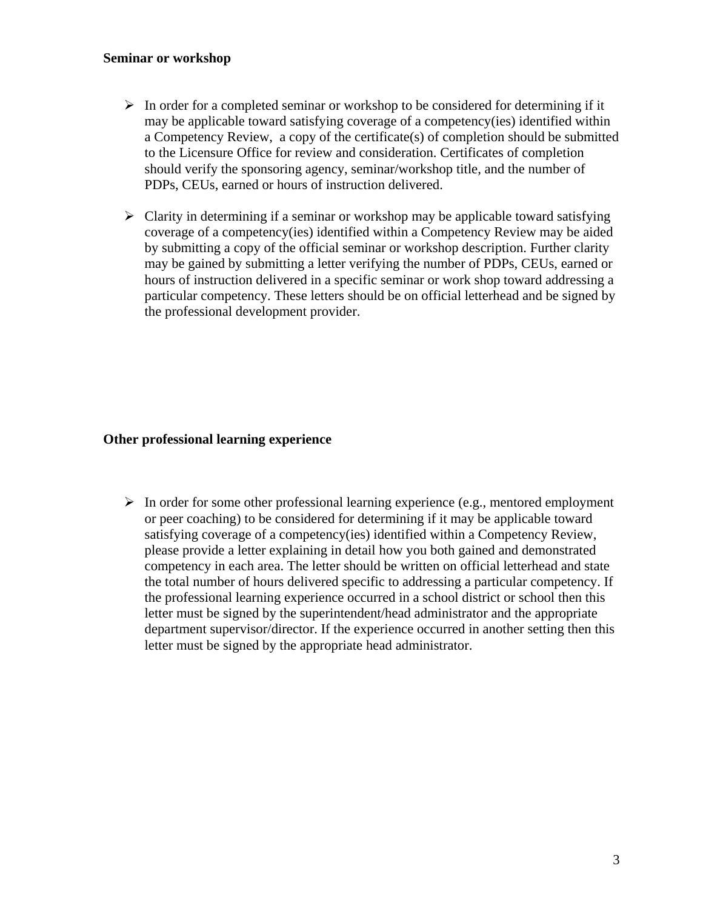#### **Seminar or workshop**

- $\triangleright$  In order for a completed seminar or workshop to be considered for determining if it may be applicable toward satisfying coverage of a competency(ies) identified within a Competency Review, a copy of the certificate(s) of completion should be submitted to the Licensure Office for review and consideration. Certificates of completion should verify the sponsoring agency, seminar/workshop title, and the number of PDPs, CEUs, earned or hours of instruction delivered.
- $\triangleright$  Clarity in determining if a seminar or workshop may be applicable toward satisfying coverage of a competency(ies) identified within a Competency Review may be aided by submitting a copy of the official seminar or workshop description. Further clarity may be gained by submitting a letter verifying the number of PDPs, CEUs, earned or hours of instruction delivered in a specific seminar or work shop toward addressing a particular competency. These letters should be on official letterhead and be signed by the professional development provider.

#### **Other professional learning experience**

 $\triangleright$  In order for some other professional learning experience (e.g., mentored employment or peer coaching) to be considered for determining if it may be applicable toward satisfying coverage of a competency(ies) identified within a Competency Review, please provide a letter explaining in detail how you both gained and demonstrated competency in each area. The letter should be written on official letterhead and state the total number of hours delivered specific to addressing a particular competency. If the professional learning experience occurred in a school district or school then this letter must be signed by the superintendent/head administrator and the appropriate department supervisor/director. If the experience occurred in another setting then this letter must be signed by the appropriate head administrator.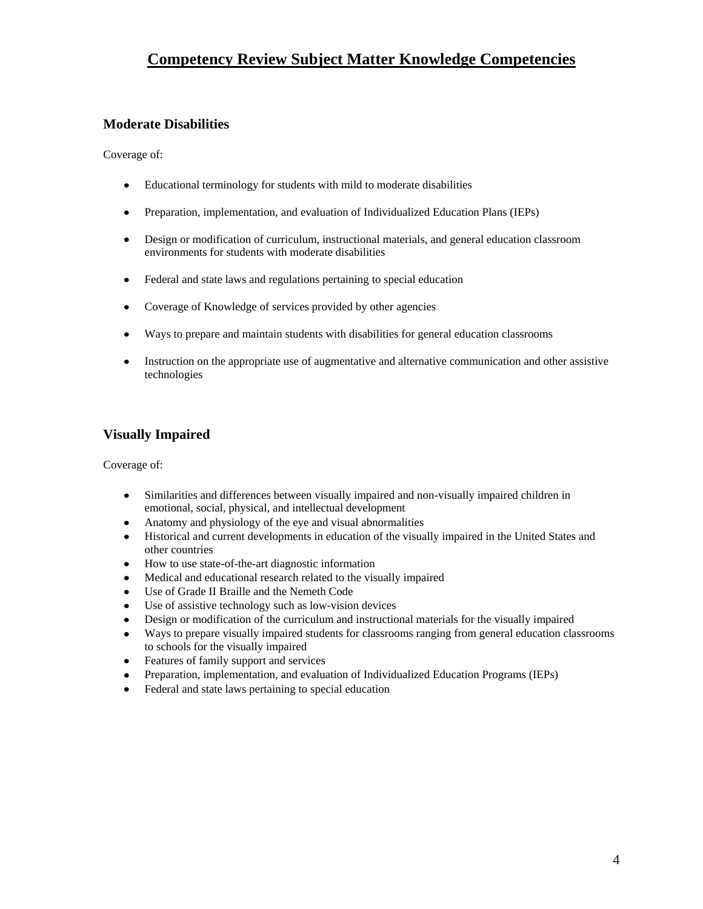### **Competency Review Subject Matter Knowledge Competencies**

### **Moderate Disabilities**

Coverage of:

- $\bullet$ Educational terminology for students with mild to moderate disabilities
- Preparation, implementation, and evaluation of Individualized Education Plans (IEPs)  $\bullet$
- Design or modification of curriculum, instructional materials, and general education classroom environments for students with moderate disabilities
- $\bullet$ Federal and state laws and regulations pertaining to special education
- Coverage of Knowledge of services provided by other agencies  $\bullet$
- Ways to prepare and maintain students with disabilities for general education classrooms
- Instruction on the appropriate use of augmentative and alternative communication and other assistive  $\bullet$ technologies

### **Visually Impaired**

Coverage of:

- Similarities and differences between visually impaired and non-visually impaired children in  $\bullet$ emotional, social, physical, and intellectual development
- Anatomy and physiology of the eye and visual abnormalities  $\bullet$
- Historical and current developments in education of the visually impaired in the United States and other countries
- $\bullet$ How to use state-of-the-art diagnostic information
- Medical and educational research related to the visually impaired  $\bullet$
- $\bullet$ Use of Grade II Braille and the Nemeth Code
- Use of assistive technology such as low-vision devices  $\bullet$
- Design or modification of the curriculum and instructional materials for the visually impaired  $\bullet$
- Ways to prepare visually impaired students for classrooms ranging from general education classrooms  $\bullet$ to schools for the visually impaired
- $\bullet$ Features of family support and services
- Preparation, implementation, and evaluation of Individualized Education Programs (IEPs)  $\bullet$
- Federal and state laws pertaining to special education  $\bullet$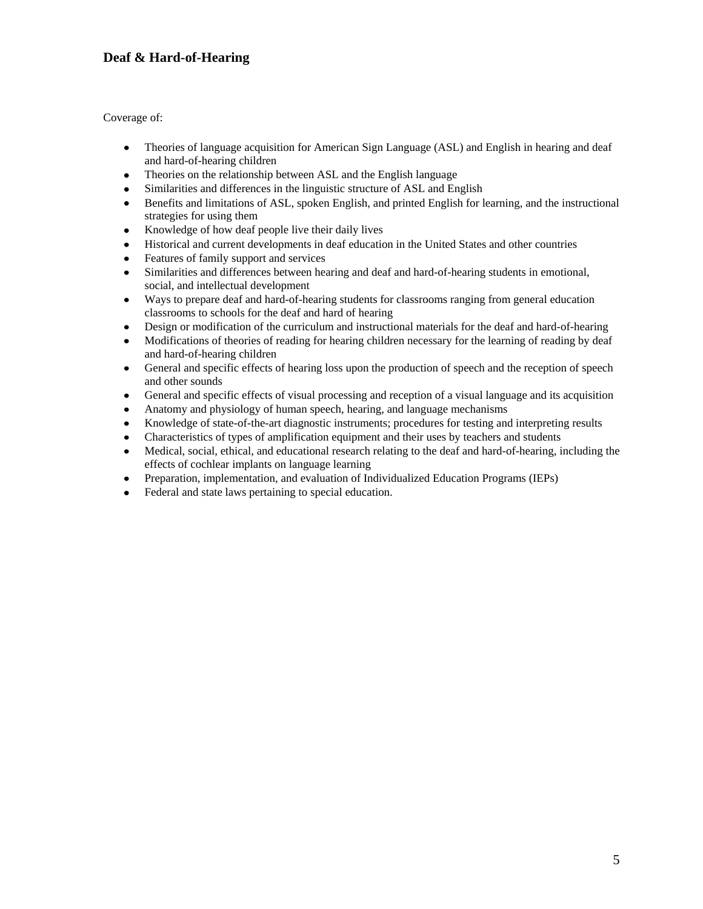### **Deaf & Hard-of-Hearing**

Coverage of:

- Theories of language acquisition for American Sign Language (ASL) and English in hearing and deaf  $\bullet$ and hard-of-hearing children
- $\bullet$ Theories on the relationship between ASL and the English language
- $\bullet$ Similarities and differences in the linguistic structure of ASL and English
- Benefits and limitations of ASL, spoken English, and printed English for learning, and the instructional  $\bullet$ strategies for using them
- Knowledge of how deaf people live their daily lives  $\bullet$
- $\bullet$ Historical and current developments in deaf education in the United States and other countries
- Features of family support and services  $\bullet$
- Similarities and differences between hearing and deaf and hard-of-hearing students in emotional, social, and intellectual development
- Ways to prepare deaf and hard-of-hearing students for classrooms ranging from general education  $\bullet$ classrooms to schools for the deaf and hard of hearing
- Design or modification of the curriculum and instructional materials for the deaf and hard-of-hearing  $\bullet$
- Modifications of theories of reading for hearing children necessary for the learning of reading by deaf  $\bullet$ and hard-of-hearing children
- General and specific effects of hearing loss upon the production of speech and the reception of speech  $\bullet$ and other sounds
- General and specific effects of visual processing and reception of a visual language and its acquisition  $\bullet$
- Anatomy and physiology of human speech, hearing, and language mechanisms
- Knowledge of state-of-the-art diagnostic instruments; procedures for testing and interpreting results  $\bullet$
- Characteristics of types of amplification equipment and their uses by teachers and students
- Medical, social, ethical, and educational research relating to the deaf and hard-of-hearing, including the effects of cochlear implants on language learning
- Preparation, implementation, and evaluation of Individualized Education Programs (IEPs)  $\bullet$
- Federal and state laws pertaining to special education.  $\bullet$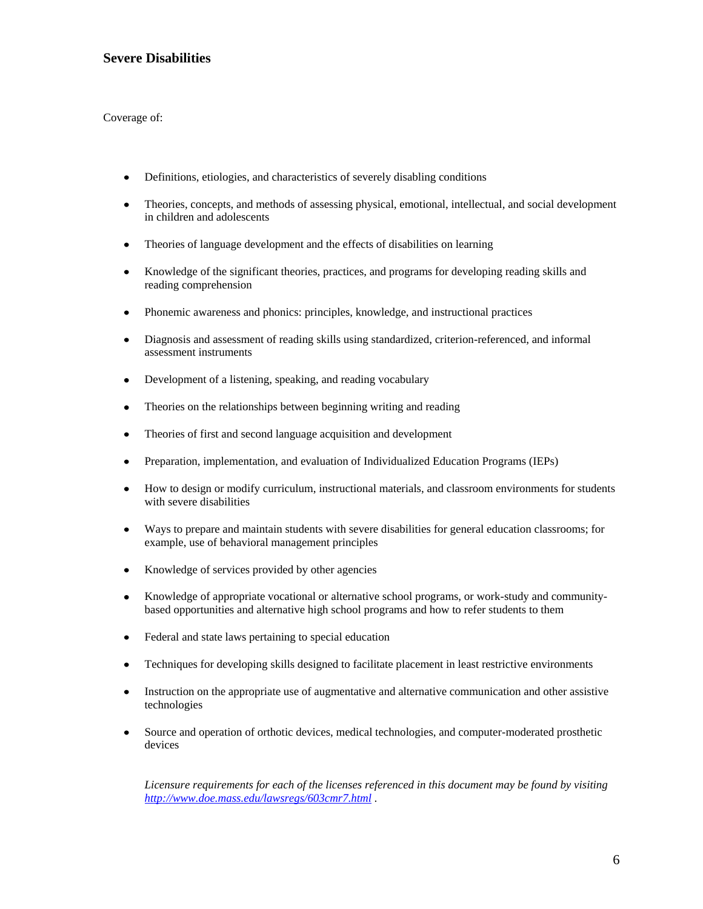#### **Severe Disabilities**

Coverage of:

- $\bullet$ Definitions, etiologies, and characteristics of severely disabling conditions
- $\bullet$ Theories, concepts, and methods of assessing physical, emotional, intellectual, and social development in children and adolescents
- Theories of language development and the effects of disabilities on learning  $\bullet$
- Knowledge of the significant theories, practices, and programs for developing reading skills and  $\bullet$ reading comprehension
- $\bullet$ Phonemic awareness and phonics: principles, knowledge, and instructional practices
- Diagnosis and assessment of reading skills using standardized, criterion-referenced, and informal  $\bullet$ assessment instruments
- Development of a listening, speaking, and reading vocabulary  $\bullet$
- Theories on the relationships between beginning writing and reading  $\bullet$
- Theories of first and second language acquisition and development  $\bullet$
- Preparation, implementation, and evaluation of Individualized Education Programs (IEPs)
- $\bullet$ How to design or modify curriculum, instructional materials, and classroom environments for students with severe disabilities
- Ways to prepare and maintain students with severe disabilities for general education classrooms; for  $\bullet$ example, use of behavioral management principles
- Knowledge of services provided by other agencies  $\bullet$
- Knowledge of appropriate vocational or alternative school programs, or work-study and community- $\bullet$ based opportunities and alternative high school programs and how to refer students to them
- $\bullet$ Federal and state laws pertaining to special education
- Techniques for developing skills designed to facilitate placement in least restrictive environments  $\bullet$
- Instruction on the appropriate use of augmentative and alternative communication and other assistive  $\bullet$ technologies
- $\bullet$ Source and operation of orthotic devices, medical technologies, and computer-moderated prosthetic devices

*Licensure requirements for each of the licenses referenced in this document may be found by visiting <http://www.doe.mass.edu/lawsregs/603cmr7.html> .*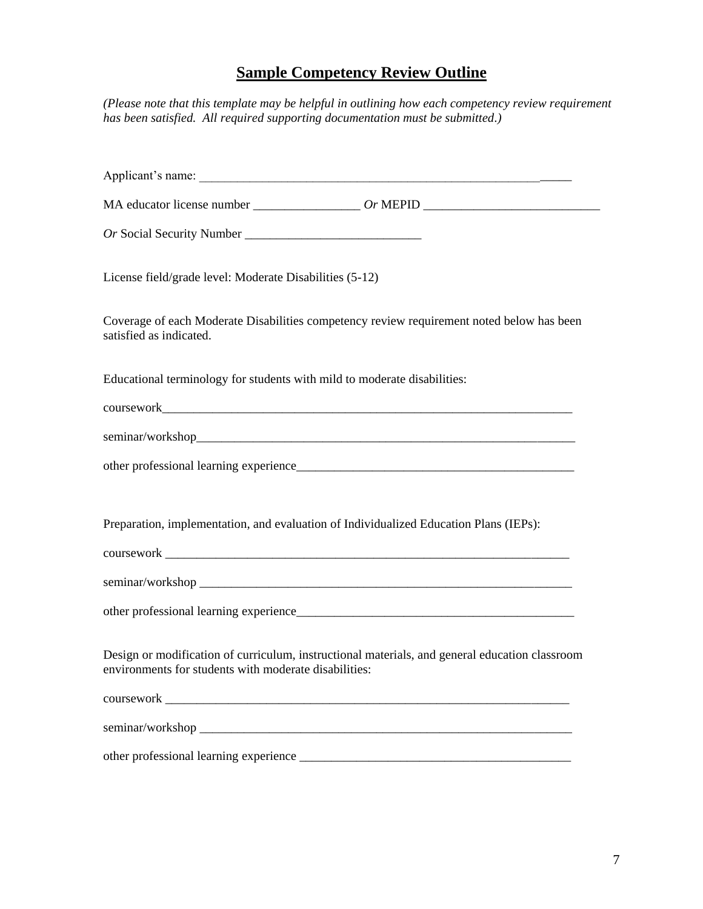## **Sample Competency Review Outline**

*(Please note that this template may be helpful in outlining how each competency review requirement has been satisfied. All required supporting documentation must be submitted.)*

|                                                                          | Applicant's name:                                                                              |
|--------------------------------------------------------------------------|------------------------------------------------------------------------------------------------|
|                                                                          |                                                                                                |
|                                                                          |                                                                                                |
| License field/grade level: Moderate Disabilities (5-12)                  |                                                                                                |
| satisfied as indicated.                                                  | Coverage of each Moderate Disabilities competency review requirement noted below has been      |
| Educational terminology for students with mild to moderate disabilities: |                                                                                                |
|                                                                          |                                                                                                |
|                                                                          |                                                                                                |
|                                                                          |                                                                                                |
|                                                                          |                                                                                                |
|                                                                          | Preparation, implementation, and evaluation of Individualized Education Plans (IEPs):          |
|                                                                          |                                                                                                |
|                                                                          |                                                                                                |
|                                                                          |                                                                                                |
| environments for students with moderate disabilities:                    | Design or modification of curriculum, instructional materials, and general education classroom |
|                                                                          |                                                                                                |
|                                                                          |                                                                                                |
|                                                                          |                                                                                                |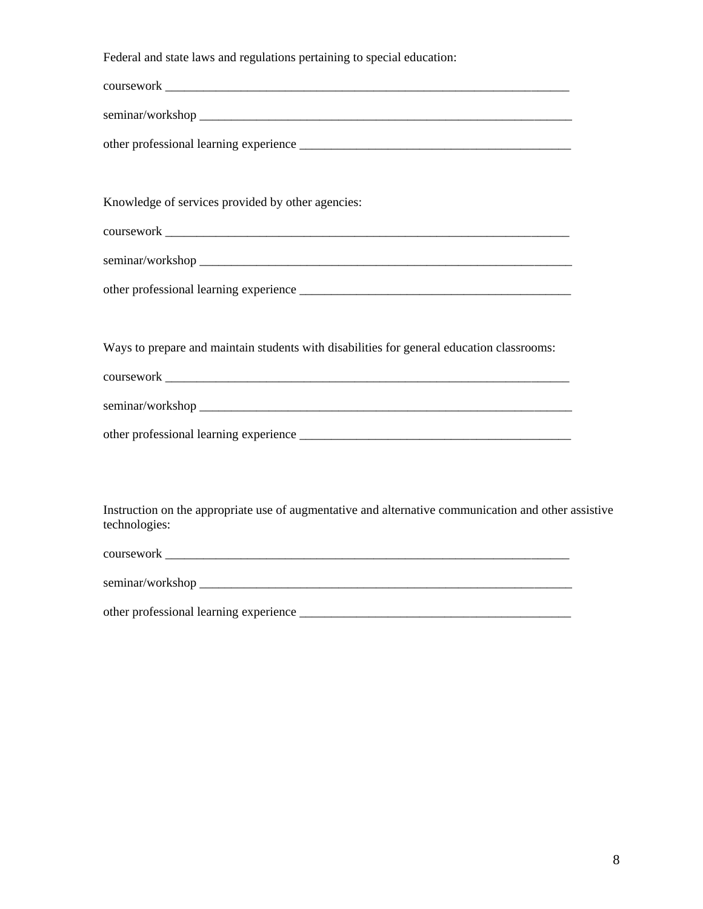Federal and state laws and regulations pertaining to special education:

| Knowledge of services provided by other agencies:                                                                     |  |
|-----------------------------------------------------------------------------------------------------------------------|--|
|                                                                                                                       |  |
|                                                                                                                       |  |
|                                                                                                                       |  |
|                                                                                                                       |  |
| Ways to prepare and maintain students with disabilities for general education classrooms:                             |  |
|                                                                                                                       |  |
|                                                                                                                       |  |
|                                                                                                                       |  |
|                                                                                                                       |  |
|                                                                                                                       |  |
| Instruction on the appropriate use of augmentative and alternative communication and other assistive<br>technologies: |  |
|                                                                                                                       |  |
|                                                                                                                       |  |

other professional learning experience \_\_\_\_\_\_\_\_\_\_\_\_\_\_\_\_\_\_\_\_\_\_\_\_\_\_\_\_\_\_\_\_\_\_\_\_\_\_\_\_\_\_\_